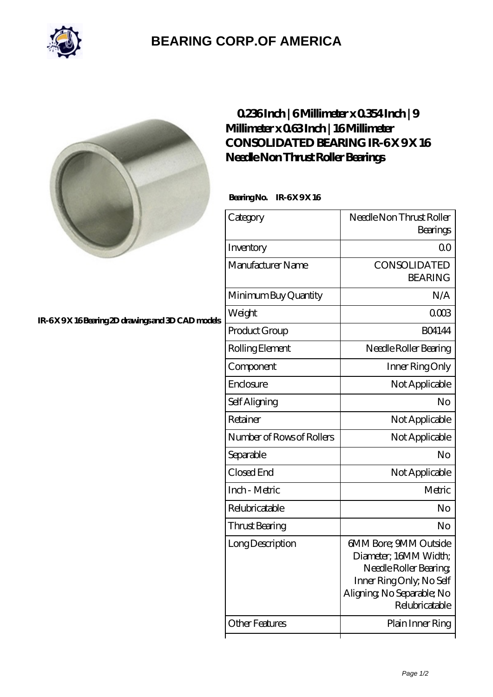

# **[BEARING CORP.OF AMERICA](https://bluemondayreview.com)**



### **[IR-6 X 9 X 16 Bearing 2D drawings and 3D CAD models](https://bluemondayreview.com/pic-176309.html)**

## **[0.236 Inch | 6 Millimeter x 0.354 Inch | 9](https://bluemondayreview.com/bs-176309-consolidated-bearing-ir-6-x-9-x-16-needle-non-thrust-roller-bearings.html) [Millimeter x 0.63 Inch | 16 Millimeter](https://bluemondayreview.com/bs-176309-consolidated-bearing-ir-6-x-9-x-16-needle-non-thrust-roller-bearings.html) CONSOLIDATED BEARING IR-6X9X16 [Needle Non Thrust Roller Bearings](https://bluemondayreview.com/bs-176309-consolidated-bearing-ir-6-x-9-x-16-needle-non-thrust-roller-bearings.html)**

#### **Bearing No. IR-6X 9X 16**

| Needle Non Thrust Roller<br>Bearings                                                                                                                |
|-----------------------------------------------------------------------------------------------------------------------------------------------------|
| 0 <sub>0</sub>                                                                                                                                      |
| CONSOLIDATED<br><b>BEARING</b>                                                                                                                      |
| N/A                                                                                                                                                 |
| 0003                                                                                                                                                |
| <b>BO4144</b>                                                                                                                                       |
| Needle Roller Bearing                                                                                                                               |
| Inner Ring Only                                                                                                                                     |
| Not Applicable                                                                                                                                      |
| No                                                                                                                                                  |
| Not Applicable                                                                                                                                      |
| Not Applicable                                                                                                                                      |
| No                                                                                                                                                  |
| Not Applicable                                                                                                                                      |
| Metric                                                                                                                                              |
| No                                                                                                                                                  |
| No                                                                                                                                                  |
| GMM Bore; 9MM Outside<br>Diameter; 16MM Width;<br>Needle Roller Bearing<br>Inner Ring Only, No Self<br>Aligning, No Separable; No<br>Relubricatable |
|                                                                                                                                                     |
|                                                                                                                                                     |